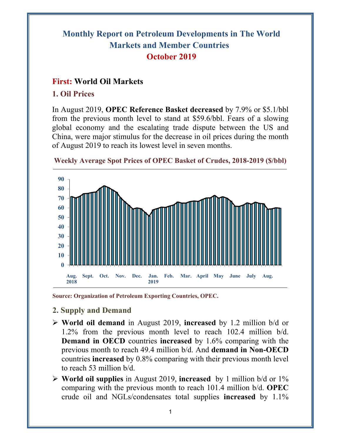# **Monthly Report on Petroleum Developments in The World Markets and Member Countries October 2019**

## **First: World Oil Markets**

### **1. Oil Prices**

In August 2019, **OPEC Reference Basket decreased** by 7.9% or \$5.1/bbl from the previous month level to stand at \$59.6/bbl. Fears of a slowing global economy and the escalating trade dispute between the US and China, were major stimulus for the decrease in oil prices during the month of August 2019 to reach its lowest level in seven months.



**Weekly Average Spot Prices of OPEC Basket of Crudes, 2018-2019 (\$/bbl)**

**Source: Organization of Petroleum Exporting Countries, OPEC.** 

- **2. Supply and Demand**
- **World oil demand** in August 2019, **increased** by 1.2 million b/d or 1.2% from the previous month level to reach 102.4 million b/d. **Demand in OECD** countries **increased** by 1.6% comparing with the previous month to reach 49.4 million b/d. And **demand in Non-OECD** countries **increased** by 0.8% comparing with their previous month level to reach 53 million b/d.
- **World oil supplies** in August 2019, **increased** by 1 million b/d or 1% comparing with the previous month to reach 101.4 million b/d. **OPEC** crude oil and NGLs/condensates total supplies **increased** by 1.1%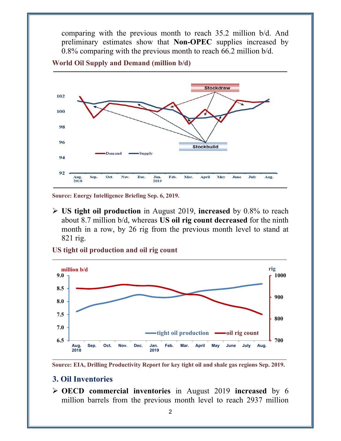comparing with the previous month to reach 35.2 million b/d. And preliminary estimates show that **Non-OPEC** supplies increased by 0.8% comparing with the previous month to reach 66.2 million b/d.



**World Oil Supply and Demand (million b/d)** 

**Source: Energy Intelligence Briefing Sep. 6, 2019.** 

 **US tight oil production** in August 2019, **increased** by 0.8% to reach about 8.7 million b/d, whereas **US oil rig count decreased** for the ninth month in a row, by 26 rig from the previous month level to stand at 821 rig.

**US tight oil production and oil rig count** 



**Source: EIA, Drilling Productivity Report for key tight oil and shale gas regions Sep. 2019.** 

#### **3. Oil Inventories**

 **OECD commercial inventories** in August 2019 **increased** by 6 million barrels from the previous month level to reach 2937 million